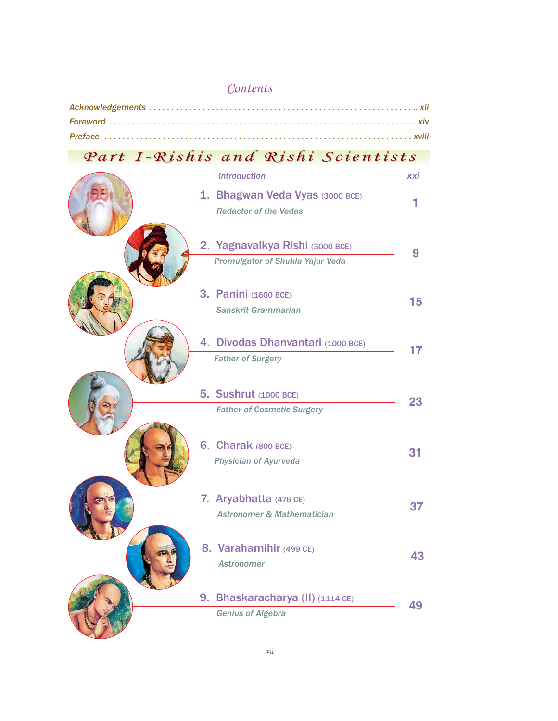## *Contents*

## *Part I-Rishis and Rishi Scientists Part I-Rishis and Rishi Scientists*

|  | <b>Introduction</b>                   | xxi             |
|--|---------------------------------------|-----------------|
|  | 1. Bhagwan Veda Vyas (3000 BCE)       |                 |
|  | <b>Redactor of the Vedas</b>          | 1               |
|  | 2. Yagnavalkya Rishi (3000 BCE)       | 9               |
|  | Promulgator of Shukla Yajur Veda      |                 |
|  | <b>3. Panini (1600 BCE)</b>           | 15 <sub>1</sub> |
|  | Sanskrit Grammarian                   |                 |
|  | 4. Divodas Dhanvantari (1000 BCE)     | 17              |
|  | <b>Father of Surgery</b>              |                 |
|  | <b>5. Sushrut</b> (1000 BCE)          |                 |
|  | <b>Father of Cosmetic Surgery</b>     | 23              |
|  | 6. Charak (800 BCE)                   | 31              |
|  | <b>Physician of Ayurveda</b>          |                 |
|  | 7. Aryabhatta (476 CE)                |                 |
|  | <b>Astronomer &amp; Mathematician</b> | 37              |
|  | 8. Varahamihir (499 CE)               |                 |
|  | <b>Astronomer</b>                     | 43              |
|  | 9. Bhaskaracharya (II) (1114 CE)      | 49              |
|  | <b>Genius of Algebra</b>              |                 |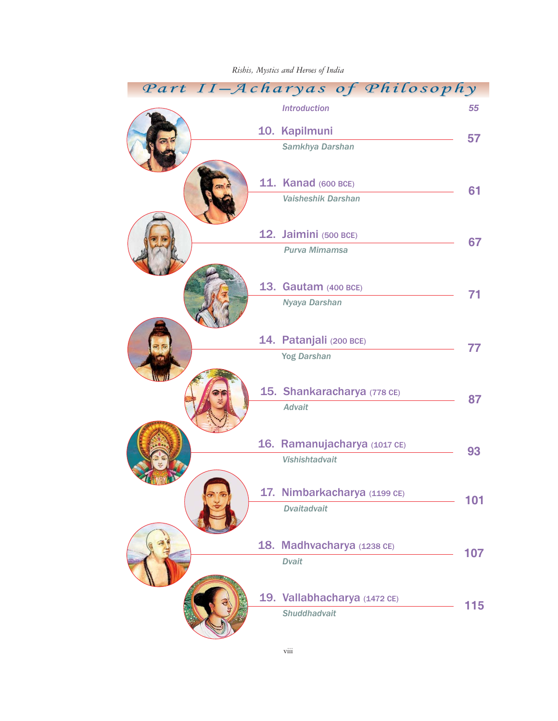| Part II-Acharyas of Philosophy                      |     |
|-----------------------------------------------------|-----|
| <b>Introduction</b>                                 | 55  |
| 10. Kapilmuni                                       |     |
| Samkhya Darshan                                     | 57  |
|                                                     |     |
| <b>11. Kanad (600 BCE)</b>                          | 61  |
| <b>Vaisheshik Darshan</b>                           |     |
| 12. Jaimini (500 BCE)                               |     |
| Purva Mimamsa                                       | 67  |
|                                                     |     |
| 13. Gautam (400 BCE)                                | 71  |
| Nyaya Darshan                                       |     |
|                                                     |     |
| 14. Patanjali (200 BCE)                             | 77  |
| <b>Yog Darshan</b>                                  |     |
| 15. Shankaracharya (778 CE)                         |     |
| <b>Advait</b>                                       | 87  |
|                                                     |     |
| 16. Ramanujacharya (1017 CE)                        | 93  |
| Vishishtadvait                                      |     |
| 17. Nimbarkacharya (1199 CE)                        |     |
| <b>Dvaitadvait</b>                                  | 101 |
|                                                     |     |
| 18. Madhvacharya (1238 CE)                          | 107 |
| <b>Dvait</b>                                        |     |
|                                                     |     |
| 19. Vallabhacharya (1472 CE)<br><b>Shuddhadvait</b> | 115 |
|                                                     |     |

## *Rishis, Mystics and Heroes of India*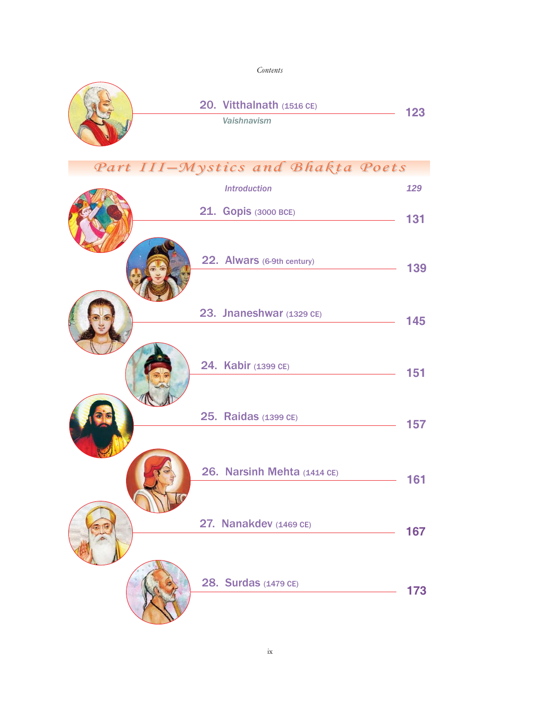*Contents*



| $11 -$ <i>M</i> ystecs and Dhaned Toels |                            |                             |     |
|-----------------------------------------|----------------------------|-----------------------------|-----|
|                                         | <b>Introduction</b>        |                             | 129 |
|                                         | 21. Gopis (3000 BCE)       |                             | 131 |
|                                         |                            |                             |     |
|                                         | 22. Alwars (6-9th century) |                             | 139 |
|                                         |                            |                             |     |
|                                         | 23. Jnaneshwar (1329 CE)   |                             | 145 |
|                                         |                            |                             |     |
|                                         | 24. Kabir (1399 CE)        |                             | 151 |
|                                         |                            |                             |     |
|                                         | 25. Raidas (1399 CE)       |                             | 157 |
|                                         |                            |                             |     |
|                                         |                            | 26. Narsinh Mehta (1414 CE) |     |
|                                         |                            |                             | 161 |
|                                         | 27. Nanakdev (1469 CE)     |                             |     |
|                                         |                            |                             | 167 |
|                                         | 28. Surdas (1479 CE)       |                             |     |
|                                         |                            |                             | 173 |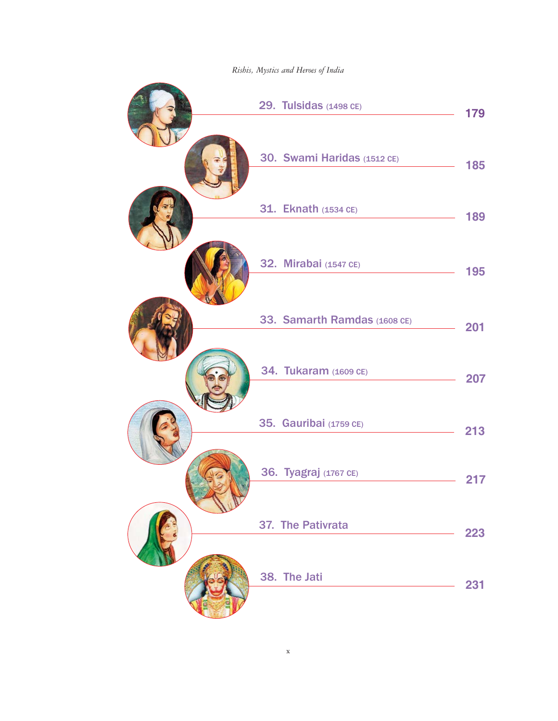*Rishis, Mystics and Heroes of India*